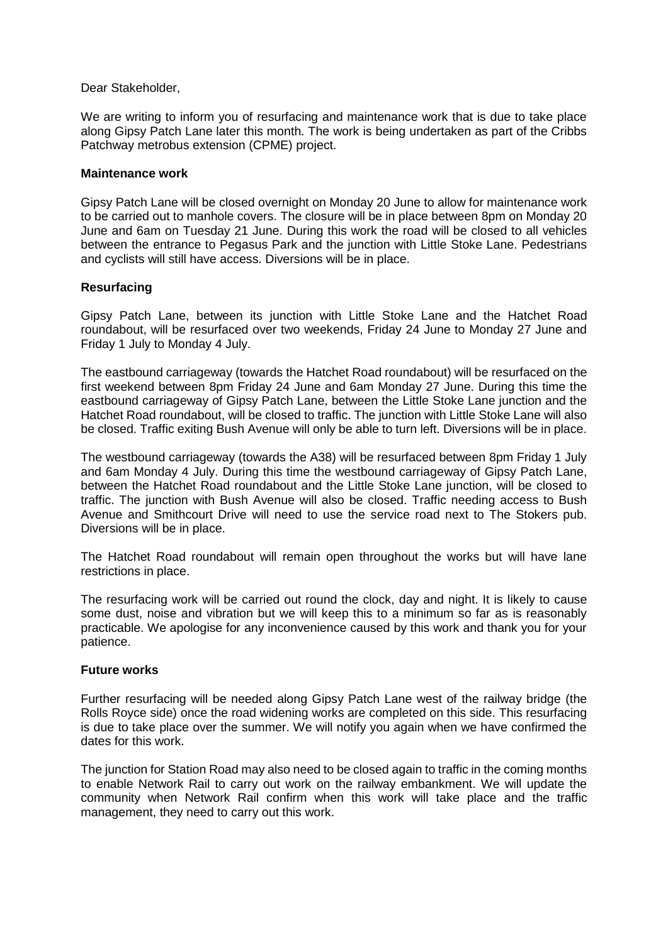### Dear Stakeholder,

We are writing to inform you of resurfacing and maintenance work that is due to take place along Gipsy Patch Lane later this month. The work is being undertaken as part of the Cribbs Patchway metrobus extension (CPME) project.

### **Maintenance work**

Gipsy Patch Lane will be closed overnight on Monday 20 June to allow for maintenance work to be carried out to manhole covers. The closure will be in place between 8pm on Monday 20 June and 6am on Tuesday 21 June. During this work the road will be closed to all vehicles between the entrance to Pegasus Park and the junction with Little Stoke Lane. Pedestrians and cyclists will still have access. Diversions will be in place.

### **Resurfacing**

Gipsy Patch Lane, between its junction with Little Stoke Lane and the Hatchet Road roundabout, will be resurfaced over two weekends, Friday 24 June to Monday 27 June and Friday 1 July to Monday 4 July.

The eastbound carriageway (towards the Hatchet Road roundabout) will be resurfaced on the first weekend between 8pm Friday 24 June and 6am Monday 27 June. During this time the eastbound carriageway of Gipsy Patch Lane, between the Little Stoke Lane junction and the Hatchet Road roundabout, will be closed to traffic. The junction with Little Stoke Lane will also be closed. Traffic exiting Bush Avenue will only be able to turn left. Diversions will be in place.

The westbound carriageway (towards the A38) will be resurfaced between 8pm Friday 1 July and 6am Monday 4 July. During this time the westbound carriageway of Gipsy Patch Lane, between the Hatchet Road roundabout and the Little Stoke Lane junction, will be closed to traffic. The junction with Bush Avenue will also be closed. Traffic needing access to Bush Avenue and Smithcourt Drive will need to use the service road next to The Stokers pub. Diversions will be in place.

The Hatchet Road roundabout will remain open throughout the works but will have lane restrictions in place.

The resurfacing work will be carried out round the clock, day and night. It is likely to cause some dust, noise and vibration but we will keep this to a minimum so far as is reasonably practicable. We apologise for any inconvenience caused by this work and thank you for your patience.

### **Future works**

Further resurfacing will be needed along Gipsy Patch Lane west of the railway bridge (the Rolls Royce side) once the road widening works are completed on this side. This resurfacing is due to take place over the summer. We will notify you again when we have confirmed the dates for this work.

The junction for Station Road may also need to be closed again to traffic in the coming months to enable Network Rail to carry out work on the railway embankment. We will update the community when Network Rail confirm when this work will take place and the traffic management, they need to carry out this work.